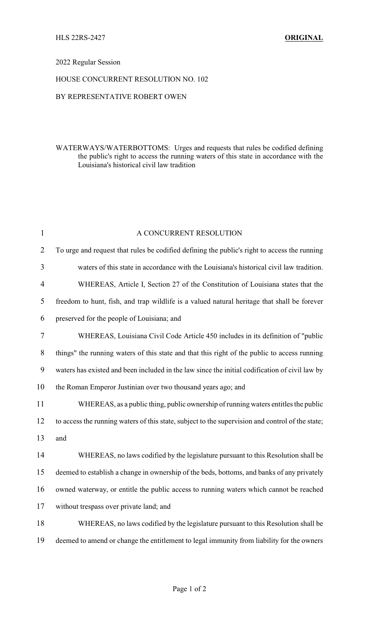### 2022 Regular Session

### HOUSE CONCURRENT RESOLUTION NO. 102

## BY REPRESENTATIVE ROBERT OWEN

## WATERWAYS/WATERBOTTOMS: Urges and requests that rules be codified defining the public's right to access the running waters of this state in accordance with the Louisiana's historical civil law tradition

| $\mathbf{1}$   | A CONCURRENT RESOLUTION                                                                          |
|----------------|--------------------------------------------------------------------------------------------------|
| $\overline{2}$ | To urge and request that rules be codified defining the public's right to access the running     |
| 3              | waters of this state in accordance with the Louisiana's historical civil law tradition.          |
| $\overline{4}$ | WHEREAS, Article I, Section 27 of the Constitution of Louisiana states that the                  |
| 5              | freedom to hunt, fish, and trap wildlife is a valued natural heritage that shall be forever      |
| 6              | preserved for the people of Louisiana; and                                                       |
| $\overline{7}$ | WHEREAS, Louisiana Civil Code Article 450 includes in its definition of "public                  |
| 8              | things" the running waters of this state and that this right of the public to access running     |
| 9              | waters has existed and been included in the law since the initial codification of civil law by   |
| 10             | the Roman Emperor Justinian over two thousand years ago; and                                     |
| 11             | WHEREAS, as a public thing, public ownership of running waters entitles the public               |
| 12             | to access the running waters of this state, subject to the supervision and control of the state; |
| 13             | and                                                                                              |
| 14             | WHEREAS, no laws codified by the legislature pursuant to this Resolution shall be                |
| 15             | deemed to establish a change in ownership of the beds, bottoms, and banks of any privately       |
| 16             | owned waterway, or entitle the public access to running waters which cannot be reached           |
| 17             | without trespass over private land; and                                                          |
| 18             | WHEREAS, no laws codified by the legislature pursuant to this Resolution shall be                |
| 19             | deemed to amend or change the entitlement to legal immunity from liability for the owners        |